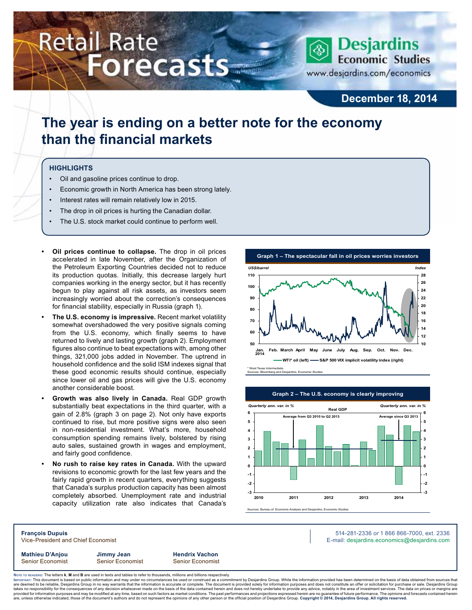# **Retail Rate Forecasts**



## **December 18, 2014**

## **The year is ending on a better note for the economy than the financial markets**

### **Highlights**

- Oil and gasoline prices continue to drop.
- Economic growth in North America has been strong lately.
- Interest rates will remain relatively low in 2015.
- The drop in oil prices is hurting the Canadian dollar.
- The U.S. stock market could continue to perform well.
- **• Oil prices continue to collapse.** The drop in oil prices accelerated in late November, after the Organization of the Petroleum Exporting Countries decided not to reduce its production quotas. Initially, this decrease largely hurt companies working in the energy sector, but it has recently begun to play against all risk assets, as investors seem increasingly worried about the correction's consequences for financial stability, especially in Russia (graph 1).
- **• The U.S. economy is impressive.** Recent market volatility somewhat overshadowed the very positive signals coming from the U.S. economy, which finally seems to have returned to lively and lasting growth (graph 2). Employment figures also continue to beat expectations with, among other things, 321,000 jobs added in November. The uptrend in household confidence and the solid ISM indexes signal that these good economic results should continue, especially since lower oil and gas prices will give the U.S. economy another considerable boost.
- **• Growth was also lively in Canada.** Real GDP growth substantially beat expectations in the third quarter, with a gain of 2.8% (graph 3 on page 2). Not only have exports continued to rise, but more positive signs were also seen in non-residential investment. What's more, household consumption spending remains lively, bolstered by rising auto sales, sustained growth in wages and employment, and fairly good confidence.
- **• No rush to raise key rates in Canada.** With the upward revisions to economic growth for the last few years and the fairly rapid growth in recent quarters, everything suggests that Canada's surplus production capacity has been almost completely absorbed. Unemployment rate and industrial capacity utilization rate also indicates that Canada's







**Mathieu D'Anjou Jimmy Jean Hendrix Vachon** Senior Economist Senior Economist Senior Economist

**François Dupuis** 514-281-2336 *or* 1 866 866-7000, ext. 2336 Vice-President and Chief Economist **E-mail: designediate and Chief Economist** E-mail: designediate economics@desjardins.com

Noте то келоекs: The letters **k, M** and **B** are used in texts and tables to refer to thousands, millions and billions respectively.<br>Імроктлит: This document is based on public information and may under no circumstances be are deemed to be reliable, Desjardins Group in no way warrants that the information is accurate or complete. The document is provided solely for information purposes and does not constitute an offer or solicitation for pur takes no responsibility for the consequences of any decision whatsoever made on the basis of the data contained herein and does not hereby undertake to provide any advice, notably in the area of investment services. The da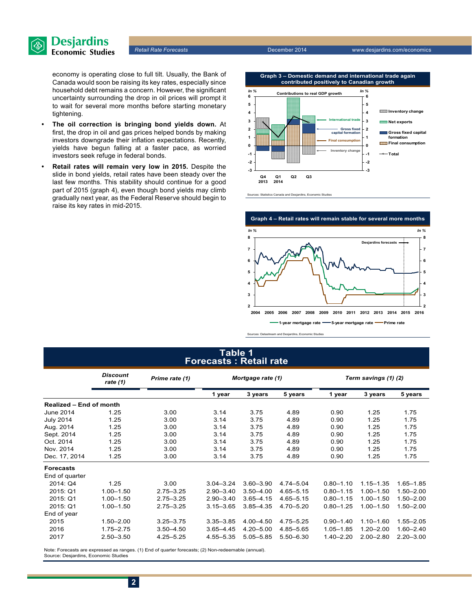

*Retail Rate Forecasts* December 2014 www.desjardins.com/economics

economy is operating close to full tilt. Usually, the Bank of Canada would soon be raising its key rates, especially since household debt remains a concern. However, the significant uncertainty surrounding the drop in oil prices will prompt it to wait for several more months before starting monetary tightening.

- **• The oil correction is bringing bond yields down.** At first, the drop in oil and gas prices helped bonds by making investors downgrade their inflation expectations. Recently, yields have begun falling at a faster pace, as worried investors seek refuge in federal bonds.
- **• Retail rates will remain very low in 2015.** Despite the slide in bond yields, retail rates have been steady over the last few months. This stability should continue for a good part of 2015 (graph 4), even though bond yields may climb gradually next year, as the Federal Reserve should begin to raise its key rates in mid-2015.







Sources: Datastream and Desjardins, Economic Studies

## **Table 1 Forecasts : Retail rate**

|                         | <b>Discount</b><br>Prime rate (1)<br>rate $(1)$ |               | Mortgage rate (1) |               |               | Term savings (1) (2) |               |               |  |
|-------------------------|-------------------------------------------------|---------------|-------------------|---------------|---------------|----------------------|---------------|---------------|--|
|                         |                                                 |               | 1 year            | 3 years       | 5 years       | 1 year               | 3 years       | 5 years       |  |
| Realized - End of month |                                                 |               |                   |               |               |                      |               |               |  |
| <b>June 2014</b>        | 1.25                                            | 3.00          | 3.14              | 3.75          | 4.89          | 0.90                 | 1.25          | 1.75          |  |
| <b>July 2014</b>        | 1.25                                            | 3.00          | 3.14              | 3.75          | 4.89          | 0.90                 | 1.25          | 1.75          |  |
| Aug. 2014               | 1.25                                            | 3.00          | 3.14              | 3.75          | 4.89          | 0.90                 | 1.25          | 1.75          |  |
| Sept. 2014              | 1.25                                            | 3.00          | 3.14              | 3.75          | 4.89          | 0.90                 | 1.25          | 1.75          |  |
| Oct. 2014               | 1.25                                            | 3.00          | 3.14              | 3.75          | 4.89          | 0.90                 | 1.25          | 1.75          |  |
| Nov. 2014               | 1.25                                            | 3.00          | 3.14              | 3.75          | 4.89          | 0.90                 | 1.25          | 1.75          |  |
| Dec. 17, 2014           | 1.25                                            | 3.00          | 3.14              | 3.75          | 4.89          | 0.90                 | 1.25          | 1.75          |  |
| <b>Forecasts</b>        |                                                 |               |                   |               |               |                      |               |               |  |
| End of quarter          |                                                 |               |                   |               |               |                      |               |               |  |
| 2014: Q4                | 1.25                                            | 3.00          | $3.04 - 3.24$     | $3.60 - 3.90$ | $4.74 - 5.04$ | $0.80 - 1.10$        | $1.15 - 1.35$ | $1.65 - 1.85$ |  |
| 2015: Q1                | $1.00 - 1.50$                                   | $2.75 - 3.25$ | $2.90 - 3.40$     | $3.50 - 4.00$ | $4.65 - 5.15$ | $0.80 - 1.15$        | $1.00 - 1.50$ | $1.50 - 2.00$ |  |
| 2015: Q1                | $1.00 - 1.50$                                   | $2.75 - 3.25$ | $2.90 - 3.40$     | $3.65 - 4.15$ | $4.65 - 5.15$ | $0.80 - 1.15$        | $1.00 - 1.50$ | $1.50 - 2.00$ |  |
| 2015: Q1                | $1.00 - 1.50$                                   | $2.75 - 3.25$ | $3.15 - 3.65$     | $3.85 - 4.35$ | 4.70 - 5.20   | $0.80 - 1.25$        | $1.00 - 1.50$ | $1.50 - 2.00$ |  |
| End of year             |                                                 |               |                   |               |               |                      |               |               |  |
| 2015                    | $1.50 - 2.00$                                   | $3.25 - 3.75$ | $3.35 - 3.85$     | $4.00 - 4.50$ | 4.75 - 5.25   | $0.90 - 1.40$        | $1.10 - 1.60$ | $1.55 - 2.05$ |  |
| 2016                    | $1.75 - 2.75$                                   | $3.50 - 4.50$ | $3.65 - 4.45$     | $4.20 - 5.00$ | 4.85-5.65     | $1.05 - 1.85$        | $1.20 - 2.00$ | $1.60 - 2.40$ |  |
| 2017                    | $2.50 - 3.50$                                   | $4.25 - 5.25$ | 4.55 - 5.35       | $5.05 - 5.85$ | $5.50 - 6.30$ | $1.40 - 2.20$        | $2.00 - 2.80$ | $2.20 - 3.00$ |  |

Note: Forecasts are expressed as ranges. (1) End of quarter forecasts; (2) Non-redeemable (annual). Source: Desjardins, Economic Studies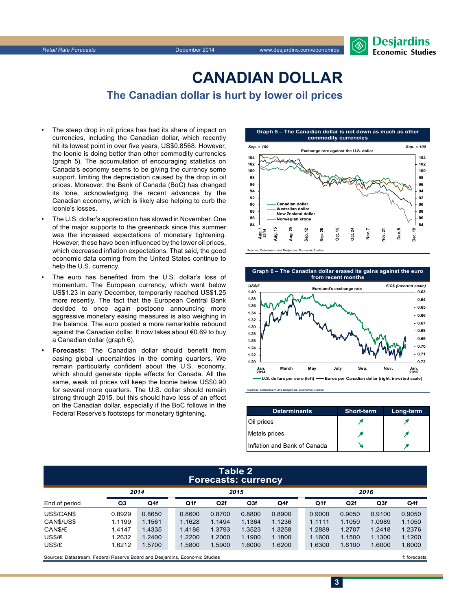

## **CanadiAn Dollar**

**The Canadian dollar is hurt by lower oil prices**

- The steep drop in oil prices has had its share of impact on currencies, including the Canadian dollar, which recently hit its lowest point in over five years, US\$0.8568. However, the loonie is doing better than other commodity currencies (graph 5). The accumulation of encouraging statistics on Canada's economy seems to be giving the currency some support, limiting the depreciation caused by the drop in oil prices. Moreover, the Bank of Canada (BoC) has changed its tone, acknowledging the recent advances by the Canadian economy, which is likely also helping to curb the loonie's losses.
- The U.S. dollar's appreciation has slowed in November. One of the major supports to the greenback since this summer was the increased expectations of monetary tightening. However, these have been influenced by the lower oil prices, which decreased inflation expectations. That said, the good economic data coming from the United States continue to help the U.S. currency.
- The euro has benefited from the U.S. dollar's loss of momentum. The European currency, which went below US\$1.23 in early December, temporarily reached US\$1.25 more recently. The fact that the European Central Bank decided to once again postpone announcing more aggressive monetary easing measures is also weighing in the balance. The euro posted a more remarkable rebound against the Canadian dollar. It now takes about €0.69 to buy a Canadian dollar (graph 6).
- **• Forecasts:** The Canadian dollar should benefit from easing global uncertainties in the coming quarters. We remain particularly confident about the U.S. economy, which should generate ripple effects for Canada. All the same, weak oil prices will keep the loonie below US\$0.90 for several more quarters. The U.S. dollar should remain strong through 2015, but this should have less of an effect on the Canadian dollar, especially if the BoC follows in the Federal Reserve's footsteps for monetary tightening.



**Graph 6 – The Canadian dollar erased its gains against the euro from recent months**



Sources: Datastream and Desjardins, Economic Studies

| <b>Determinants</b>          | <b>Short-term</b> | Long-term |
|------------------------------|-------------------|-----------|
| Oil prices                   |                   |           |
| Metals prices                |                   |           |
| Inflation and Bank of Canada |                   |           |

**3**

#### **Table 2 Forecasts: currency**

|                      | 2014   |        |  | 2015   |        |        |        |  | 2016   |        |        |        |
|----------------------|--------|--------|--|--------|--------|--------|--------|--|--------|--------|--------|--------|
| End of period        | Q3     | Q4f    |  | Q1f    | Q2f    | Q3f    | Q4f    |  | Q1f    | Q2f    | Q3f    | Q4f    |
| US\$/CAN\$           | 0.8929 | 0.8650 |  | 0.8600 | 0.8700 | 0.8800 | 0.8900 |  | 0.9000 | 0.9050 | 0.9100 | 0.9050 |
| CANS/USS             | 1.1199 | 1.1561 |  | 1.1628 | 1.1494 | 1.1364 | 1.1236 |  | 1.1111 | 1.1050 | 1.0989 | 1.1050 |
| CAN\$/€              | 1.4147 | 1.4335 |  | 1.4186 | 1.3793 | 1.3523 | 1.3258 |  | 1.2889 | 1.2707 | 1.2418 | 1.2376 |
| US\$/€               | 1.2632 | 1.2400 |  | 1.2200 | 1.2000 | 1.1900 | 1.1800 |  | 1.1600 | 1.1500 | 1.1300 | 1.1200 |
| US\$/£               | 1.6212 | 1.5700 |  | 1.5800 | 1.5900 | 1.6000 | 1.6200 |  | 1.6300 | 1.6100 | 1.6000 | 1.6000 |
| $\sim$<br>- -<br>_ _ |        |        |  |        |        |        |        |  |        |        |        |        |

Sources: Datastream, Federal Reserve Board and Desjardins, Economic Studies files for example of the studies files forecasts files forecasts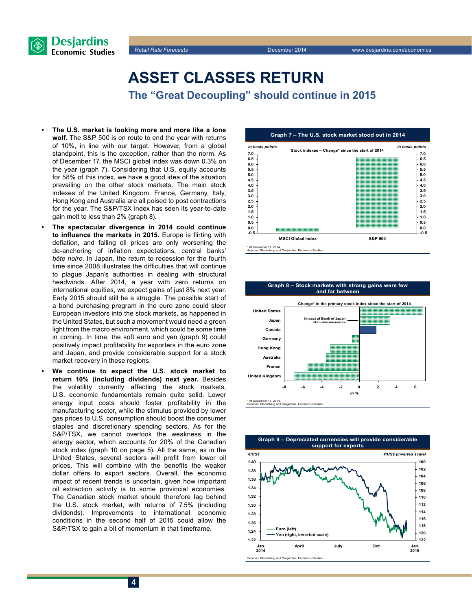



# **Asset classes return**

**The "Great Decoupling" should continue in 2015**

- **• The U.S. market is looking more and more like a lone wolf.** The S&P 500 is en route to end the year with returns of 10%, in line with our target. However, from a global standpoint, this is the exception, rather than the norm. As of December 17, the MSCI global index was down 0.3% on the year (graph 7). Considering that U.S. equity accounts for 58% of this index, we have a good idea of the situation prevailing on the other stock markets. The main stock indexes of the United Kingdom, France, Germany, Italy, Hong Kong and Australia are all poised to post contractions for the year. The S&P/TSX index has seen its year-to-date gain melt to less than 2% (graph 8).
- **• The spectacular divergence in 2014 could continue to influence the markets in 2015.** Europe is flirting with deflation, and falling oil prices are only worsening the de-anchoring of inflation expectations, central banks' *bête noire*. In Japan, the return to recession for the fourth time since 2008 illustrates the difficulties that will continue to plague Japan's authorities in dealing with structural headwinds. After 2014, a year with zero returns on international equities, we expect gains of just 8% next year. Early 2015 should still be a struggle. The possible start of a bond purchasing program in the euro zone could steer European investors into the stock markets, as happened in the United States, but such a movement would need a green light from the macro environment, which could be some time in coming. In time, the soft euro and yen (graph 9) could positively impact profitability for exporters in the euro zone and Japan, and provide considerable support for a stock market recovery in these regions.
- **• We continue to expect the U.S. stock market to return 10% (including dividends) next year.** Besides the volatility currently affecting the stock markets, U.S. economic fundamentals remain quite solid. Lower energy input costs should foster profitability in the manufacturing sector, while the stimulus provided by lower gas prices to U.S. consumption should boost the consumer staples and discretionary spending sectors. As for the S&P/TSX, we cannot overlook the weakness in the energy sector, which accounts for 20% of the Canadian stock index (graph 10 on page 5). All the same, as in the United States, several sectors will profit from lower oil prices. This will combine with the benefits the weaker dollar offers to export sectors. Overall, the economic impact of recent trends is uncertain, given how important oil extraction activity is to some provincial economies. The Canadian stock market should therefore lag behind the U.S. stock market, with returns of 7.5% (including dividends). Improvements to international economic conditions in the second half of 2015 could allow the S&P/TSX to gain a bit of momentum in that timeframe.